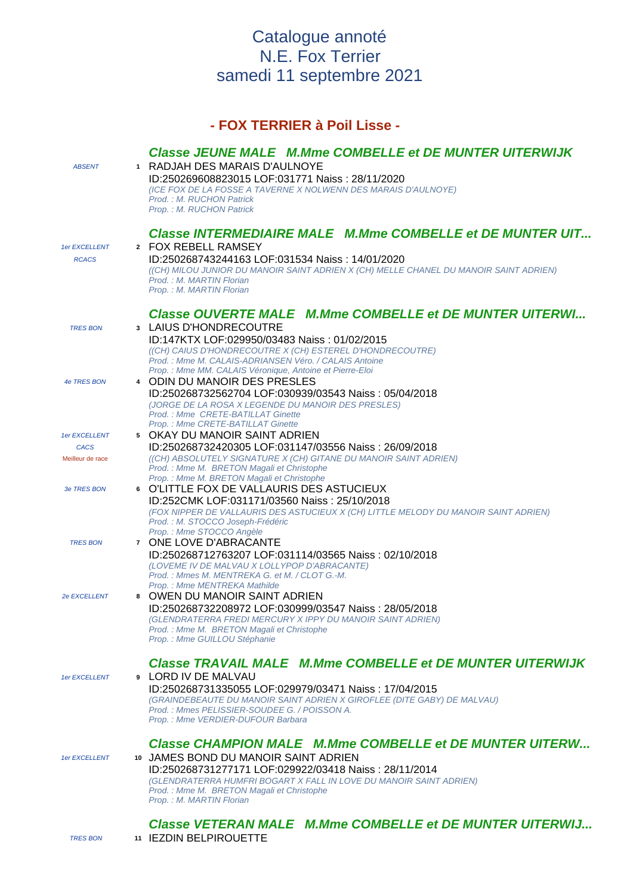## Catalogue annoté N.E. Fox Terrier samedi 11 septembre 2021

## **- FOX TERRIER à Poil Lisse - Classe JEUNE MALE M.Mme COMBELLE et DE MUNTER UITERWIJK**  ABSENT **<sup>1</sup>** RADJAH DES MARAIS D'AULNOYE ID:250269608823015 LOF:031771 Naiss : 28/11/2020 (ICE FOX DE LA FOSSE A TAVERNE X NOLWENN DES MARAIS D'AULNOYE) Prod. : M. RUCHON Patrick Prop. : M. RUCHON Patrick **Classe INTERMEDIAIRE MALE M.Mme COMBELLE et DE MUNTER UIT...** 1er EXCELLENT **<sup>2</sup>** FOX REBELL RAMSEY RCACS ID:250268743244163 LOF:031534 Naiss : 14/01/2020 ((CH) MILOU JUNIOR DU MANOIR SAINT ADRIEN X (CH) MELLE CHANEL DU MANOIR SAINT ADRIEN) Prod. : M. MARTIN Florian Prop. : M. MARTIN Florian **Classe OUVERTE MALE M.Mme COMBELLE et DE MUNTER UITERWI...** TRES BON **<sup>3</sup>** LAIUS D'HONDRECOUTRE ID:147KTX LOF:029950/03483 Naiss : 01/02/2015 ((CH) CAIUS D'HONDRECOUTRE X (CH) ESTEREL D'HONDRECOUTRE) Prod. : Mme M. CALAIS-ADRIANSEN Véro. / CALAIS Antoine Prop. : Mme MM. CALAIS Véronique, Antoine et Pierre-Eloi 4e TRES BON **<sup>4</sup>** ODIN DU MANOIR DES PRESLES ID:250268732562704 LOF:030939/03543 Naiss : 05/04/2018 (JORGE DE LA ROSA X LEGENDE DU MANOIR DES PRESLES) Prod. : Mme CRETE-BATILLAT Ginette Prop. : Mme CRETE-BATILLAT Ginette 1er EXCELLENT **<sup>5</sup>** OKAY DU MANOIR SAINT ADRIEN CACS ID:250268732420305 LOF:031147/03556 Naiss : 26/09/2018 Meilleur de race ((CH) ABSOLUTELY SIGNATURE X (CH) GITANE DU MANOIR SAINT ADRIEN) Prod. : Mme M. BRETON Magali et Christophe Prop. : Mme M. BRETON Magali et Christophe 3e TRES BON **<sup>6</sup>** O'LITTLE FOX DE VALLAURIS DES ASTUCIEUX ID:252CMK LOF:031171/03560 Naiss : 25/10/2018 (FOX NIPPER DE VALLAURIS DES ASTUCIEUX X (CH) LITTLE MELODY DU MANOIR SAINT ADRIEN) Prod. : M. STOCCO Joseph-Frédéric Prop. : Mme STOCCO Angèle TRES BON **<sup>7</sup>** ONE LOVE D'ABRACANTE ID:250268712763207 LOF:031114/03565 Naiss : 02/10/2018 (LOVEME IV DE MALVAU X LOLLYPOP D'ABRACANTE) Prod. : Mmes M. MENTREKA G. et M. / CLOT G.-M. Prop. : Mme MENTREKA Mathilde 2e EXCELLENT **<sup>8</sup>** OWEN DU MANOIR SAINT ADRIEN ID:250268732208972 LOF:030999/03547 Naiss : 28/05/2018 (GLENDRATERRA FREDI MERCURY X IPPY DU MANOIR SAINT ADRIEN) Prod. : Mme M. BRETON Magali et Christophe Prop. : Mme GUILLOU Stéphanie **Classe TRAVAIL MALE M.Mme COMBELLE et DE MUNTER UITERWIJK**  1er EXCELLENT **<sup>9</sup>** LORD IV DE MALVAU ID:250268731335055 LOF:029979/03471 Naiss : 17/04/2015 (GRAINDEBEAUTE DU MANOIR SAINT ADRIEN X GIROFLEE (DITE GABY) DE MALVAU) Prod. : Mmes PELISSIER-SOUDEE G. / POISSON A. Prop. : Mme VERDIER-DUFOUR Barbara **Classe CHAMPION MALE M.Mme COMBELLE et DE MUNTER UITERW...** 1er EXCELLENT **<sup>10</sup>** JAMES BOND DU MANOIR SAINT ADRIEN ID:250268731277171 LOF:029922/03418 Naiss : 28/11/2014 (GLENDRATERRA HUMFRI BOGART X FALL IN LOVE DU MANOIR SAINT ADRIEN) Prod. : Mme M. BRETON Magali et Christophe Prop. : M. MARTIN Florian

**Classe VETERAN MALE M.Mme COMBELLE et DE MUNTER UITERWIJ...** TRES BON **<sup>11</sup>** IEZDIN BELPIROUETTE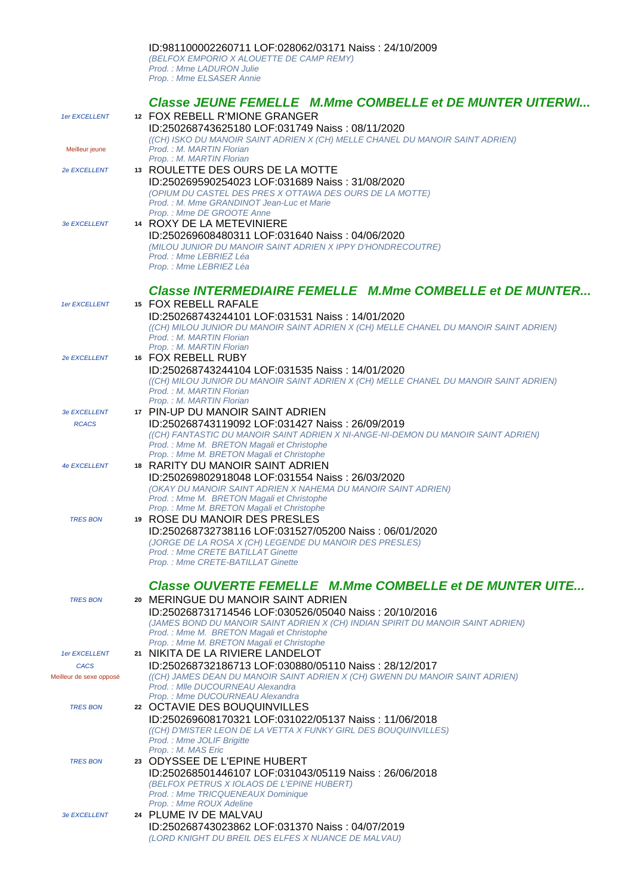## ID:981100002260711 LOF:028062/03171 Naiss : 24/10/2009 (BELFOX EMPORIO X ALOUETTE DE CAMP REMY)

Prod. : Mme LADURON Julie Prop. : Mme ELSASER Annie

|                         | <b>Classe JEUNE FEMELLE M.Mme COMBELLE et DE MUNTER UITERWI</b>                                                                |
|-------------------------|--------------------------------------------------------------------------------------------------------------------------------|
| 1er EXCELLENT           | 12 FOX REBELL R'MIONE GRANGER                                                                                                  |
|                         | ID:250268743625180 LOF:031749 Naiss: 08/11/2020                                                                                |
|                         | ((CH) ISKO DU MANOIR SAINT ADRIEN X (CH) MELLE CHANEL DU MANOIR SAINT ADRIEN)<br>Prod.: M. MARTIN Florian                      |
| Meilleur jeune          | Prop.: M. MARTIN Florian                                                                                                       |
| 2e EXCELLENT            | 13 ROULETTE DES OURS DE LA MOTTE                                                                                               |
|                         | ID:250269590254023 LOF:031689 Naiss: 31/08/2020                                                                                |
|                         | (OPIUM DU CASTEL DES PRES X OTTAWA DES OURS DE LA MOTTE)                                                                       |
|                         | Prod.: M. Mme GRANDINOT Jean-Luc et Marie<br>Prop.: Mme DE GROOTE Anne                                                         |
| 3e EXCELLENT            | 14 ROXY DE LA METEVINIERE                                                                                                      |
|                         | ID:250269608480311 LOF:031640 Naiss: 04/06/2020                                                                                |
|                         | (MILOU JUNIOR DU MANOIR SAINT ADRIEN X IPPY D'HONDRECOUTRE)<br>Prod.: Mme LEBRIEZ Léa                                          |
|                         | Prop.: Mme LEBRIEZ Léa                                                                                                         |
|                         |                                                                                                                                |
|                         | <b>Classe INTERMEDIAIRE FEMELLE M.Mme COMBELLE et DE MUNTER</b>                                                                |
| 1er EXCELLENT           | 15 FOX REBELL RAFALE                                                                                                           |
|                         | ID:250268743244101 LOF:031531 Naiss: 14/01/2020                                                                                |
|                         | ((CH) MILOU JUNIOR DU MANOIR SAINT ADRIEN X (CH) MELLE CHANEL DU MANOIR SAINT ADRIEN)<br>Prod.: M. MARTIN Florian              |
|                         | Prop.: M. MARTIN Florian                                                                                                       |
| 2e EXCELLENT            | 16 FOX REBELL RUBY                                                                                                             |
|                         | ID:250268743244104 LOF:031535 Naiss: 14/01/2020                                                                                |
|                         | ((CH) MILOU JUNIOR DU MANOIR SAINT ADRIEN X (CH) MELLE CHANEL DU MANOIR SAINT ADRIEN)<br>Prod.: M. MARTIN Florian              |
|                         | Prop.: M. MARTIN Florian                                                                                                       |
| 3e EXCELLENT            | 17 PIN-UP DU MANOIR SAINT ADRIEN                                                                                               |
| <b>RCACS</b>            | ID:250268743119092 LOF:031427 Naiss: 26/09/2019                                                                                |
|                         | ((CH) FANTASTIC DU MANOIR SAINT ADRIEN X NI-ANGE-NI-DEMON DU MANOIR SAINT ADRIEN)<br>Prod.: Mme M. BRETON Magali et Christophe |
|                         | Prop.: Mme M. BRETON Magali et Christophe                                                                                      |
| 4e EXCELLENT            | 18 RARITY DU MANOIR SAINT ADRIEN                                                                                               |
|                         | ID:250269802918048 LOF:031554 Naiss: 26/03/2020                                                                                |
|                         | (OKAY DU MANOIR SAINT ADRIEN X NAHEMA DU MANOIR SAINT ADRIEN)<br>Prod.: Mme M. BRETON Magali et Christophe                     |
|                         | Prop.: Mme M. BRETON Magali et Christophe                                                                                      |
| <b>TRES BON</b>         | 19 ROSE DU MANOIR DES PRESLES                                                                                                  |
|                         | ID:250268732738116 LOF:031527/05200 Naiss: 06/01/2020<br>(JORGE DE LA ROSA X (CH) LEGENDE DU MANOIR DES PRESLES)               |
|                         | Prod.: Mme CRETE BATILLAT Ginette                                                                                              |
|                         | Prop.: Mme CRETE-BATILLAT Ginette                                                                                              |
|                         | <b>Classe OUVERTE FEMELLE M.Mme COMBELLE et DE MUNTER UITE</b>                                                                 |
| <b>TRES BON</b>         | 20 MERINGUE DU MANOIR SAINT ADRIEN                                                                                             |
|                         | ID:250268731714546 LOF:030526/05040 Naiss: 20/10/2016                                                                          |
|                         | (JAMES BOND DU MANOIR SAINT ADRIEN X (CH) INDIAN SPIRIT DU MANOIR SAINT ADRIEN)                                                |
|                         | Prod.: Mme M. BRETON Magali et Christophe                                                                                      |
| 1er EXCELLENT           | Prop.: Mme M. BRETON Magali et Christophe<br>21 NIKITA DE LA RIVIERE LANDELOT                                                  |
| <b>CACS</b>             | ID:250268732186713 LOF:030880/05110 Naiss: 28/12/2017                                                                          |
| Meilleur de sexe opposé | ((CH) JAMES DEAN DU MANOIR SAINT ADRIEN X (CH) GWENN DU MANOIR SAINT ADRIEN)                                                   |
|                         | Prod.: MIle DUCOURNEAU Alexandra<br>Prop.: Mme DUCOURNEAU Alexandra                                                            |
| <b>TRES BON</b>         | 22 OCTAVIE DES BOUQUINVILLES                                                                                                   |
|                         | ID:250269608170321 LOF:031022/05137 Naiss: 11/06/2018                                                                          |
|                         | ((CH) D'MISTER LEON DE LA VETTA X FUNKY GIRL DES BOUQUINVILLES)                                                                |
|                         | Prod.: Mme JOLIF Brigitte<br>Prop.: M. MAS Eric                                                                                |
| <b>TRES BON</b>         | 23 ODYSSEE DE L'EPINE HUBERT                                                                                                   |
|                         | ID:250268501446107 LOF:031043/05119 Naiss: 26/06/2018                                                                          |
|                         | (BELFOX PETRUS X IOLAOS DE L'EPINE HUBERT)                                                                                     |
|                         | Prod.: Mme TRICQUENEAUX Dominique<br>Prop.: Mme ROUX Adeline                                                                   |
| 3e EXCELLENT            | 24 PLUME IV DE MALVAU                                                                                                          |
|                         | ID:250268743023862 LOF:031370 Naiss: 04/07/2019                                                                                |
|                         | (LORD KNIGHT DU BREIL DES ELFES X NUANCE DE MALVAU)                                                                            |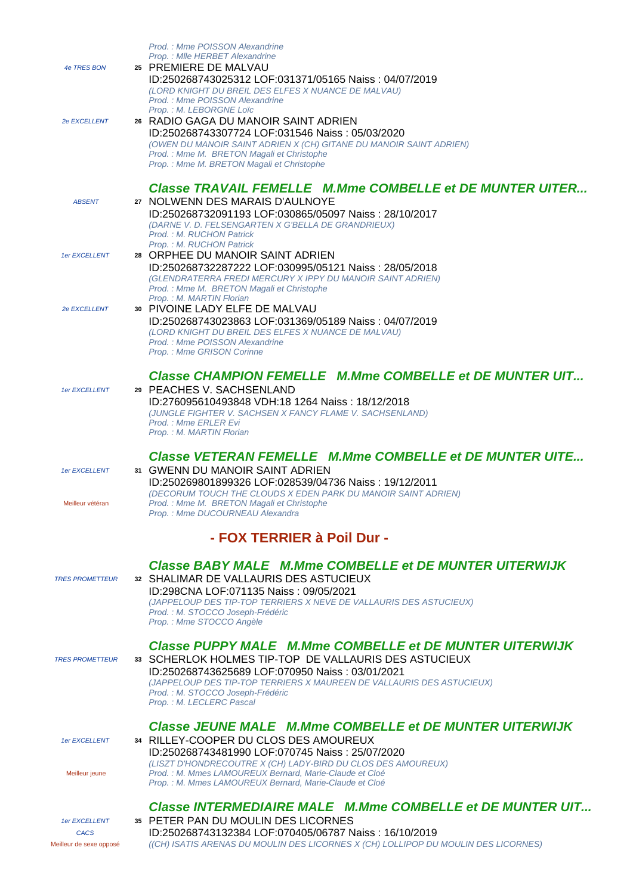| 4e TRES BON                                             | Prod.: Mme POISSON Alexandrine<br>Prop.: MIle HERBET Alexandrine<br>25 PREMIERE DE MALVAU<br>ID:250268743025312 LOF:031371/05165 Naiss: 04/07/2019<br>(LORD KNIGHT DU BREIL DES ELFES X NUANCE DE MALVAU)                                                                                                                                       |
|---------------------------------------------------------|-------------------------------------------------------------------------------------------------------------------------------------------------------------------------------------------------------------------------------------------------------------------------------------------------------------------------------------------------|
| <b>2e EXCELLENT</b>                                     | Prod.: Mme POISSON Alexandrine<br>Prop.: M. LEBORGNE Loïc<br>26 RADIO GAGA DU MANOIR SAINT ADRIEN<br>ID:250268743307724 LOF:031546 Naiss: 05/03/2020<br>(OWEN DU MANOIR SAINT ADRIEN X (CH) GITANE DU MANOIR SAINT ADRIEN)<br>Prod.: Mme M. BRETON Magali et Christophe<br>Prop.: Mme M. BRETON Magali et Christophe                            |
|                                                         | <b>Classe TRAVAIL FEMELLE M.Mme COMBELLE et DE MUNTER UITER</b>                                                                                                                                                                                                                                                                                 |
| <b>ABSENT</b>                                           | 27 NOLWENN DES MARAIS D'AULNOYE<br>ID:250268732091193 LOF:030865/05097 Naiss: 28/10/2017<br>(DARNE V. D. FELSENGARTEN X G'BELLA DE GRANDRIEUX)<br>Prod.: M. RUCHON Patrick                                                                                                                                                                      |
| 1er EXCELLENT                                           | Prop.: M. RUCHON Patrick<br>28 ORPHEE DU MANOIR SAINT ADRIEN<br>ID:250268732287222 LOF:030995/05121 Naiss: 28/05/2018<br>(GLENDRATERRA FREDI MERCURY X IPPY DU MANOIR SAINT ADRIEN)<br>Prod.: Mme M. BRETON Magali et Christophe                                                                                                                |
| 2e EXCELLENT                                            | Prop.: M. MARTIN Florian<br>30 PIVOINE LADY ELFE DE MALVAU<br>ID:250268743023863 LOF:031369/05189 Naiss: 04/07/2019<br>(LORD KNIGHT DU BREIL DES ELFES X NUANCE DE MALVAU)<br>Prod.: Mme POISSON Alexandrine<br>Prop.: Mme GRISON Corinne                                                                                                       |
| 1er EXCELLENT                                           | <b>Classe CHAMPION FEMELLE M.Mme COMBELLE et DE MUNTER UIT</b><br>29 PEACHES V. SACHSENLAND<br>ID:276095610493848 VDH:18 1264 Naiss: 18/12/2018<br>(JUNGLE FIGHTER V. SACHSEN X FANCY FLAME V. SACHSENLAND)<br>Prod.: Mme ERLER Evi<br>Prop.: M. MARTIN Florian                                                                                 |
| 1er EXCELLENT<br>Meilleur vétéran                       | <b>Classe VETERAN FEMELLE M.Mme COMBELLE et DE MUNTER UITE</b><br>31 GWENN DU MANOIR SAINT ADRIEN<br>ID:250269801899326 LOF:028539/04736 Naiss: 19/12/2011<br>(DECORUM TOUCH THE CLOUDS X EDEN PARK DU MANOIR SAINT ADRIEN)<br>Prod.: Mme M. BRETON Magali et Christophe<br>Prop.: Mme DUCOURNEAU Alexandra                                     |
|                                                         | - FOX TERRIER à Poil Dur -                                                                                                                                                                                                                                                                                                                      |
| <b>TRES PROMETTEUR</b>                                  | <b>Classe BABY MALE M.Mme COMBELLE et DE MUNTER UITERWIJK</b><br>32 SHALIMAR DE VALLAURIS DES ASTUCIEUX<br>ID:298CNA LOF:071135 Naiss: 09/05/2021<br>(JAPPELOUP DES TIP-TOP TERRIERS X NEVE DE VALLAURIS DES ASTUCIEUX)<br>Prod.: M. STOCCO Joseph-Frédéric<br>Prop.: Mme STOCCO Angèle                                                         |
| <b>TRES PROMETTEUR</b>                                  | <b>Classe PUPPY MALE M.Mme COMBELLE et DE MUNTER UITERWIJK</b><br>33 SCHERLOK HOLMES TIP-TOP DE VALLAURIS DES ASTUCIEUX<br>ID:250268743625689 LOF:070950 Naiss: 03/01/2021<br>(JAPPELOUP DES TIP-TOP TERRIERS X MAUREEN DE VALLAURIS DES ASTUCIEUX)<br>Prod.: M. STOCCO Joseph-Frédéric<br>Prop.: M. LECLERC Pascal                             |
| 1er EXCELLENT<br>Meilleur jeune                         | <b>Classe JEUNE MALE M.Mme COMBELLE et DE MUNTER UITERWIJK</b><br>34 RILLEY-COOPER DU CLOS DES AMOUREUX<br>ID:250268743481990 LOF:070745 Naiss: 25/07/2020<br>(LISZT D'HONDRECOUTRE X (CH) LADY-BIRD DU CLOS DES AMOUREUX)<br>Prod. : M. Mmes LAMOUREUX Bernard, Marie-Claude et Cloé<br>Prop.: M. Mmes LAMOUREUX Bernard, Marie-Claude et Cloé |
| 1er EXCELLENT<br><b>CACS</b><br>Meilleur de sexe opposé | Classe INTERMEDIAIRE MALE M.Mme COMBELLE et DE MUNTER UIT<br>35 PETER PAN DU MOULIN DES LICORNES<br>ID:250268743132384 LOF:070405/06787 Naiss: 16/10/2019<br>((CH) ISATIS ARENAS DU MOULIN DES LICORNES X (CH) LOLLIPOP DU MOULIN DES LICORNES)                                                                                                 |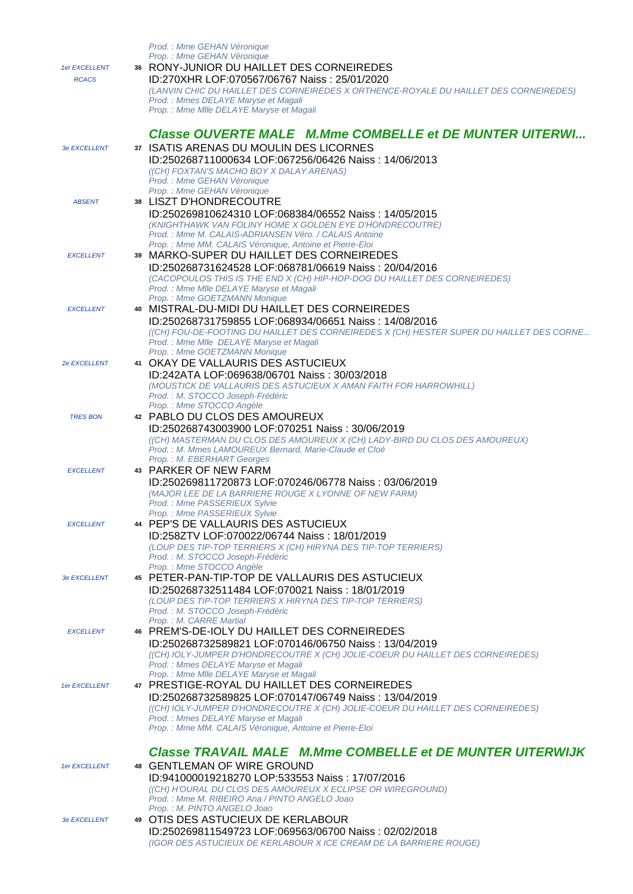| 1er EXCELLENT<br><b>RCACS</b> | Prod. : Mme GEHAN Véronique<br>Prop.: Mme GEHAN Véronique<br>36 RONY-JUNIOR DU HAILLET DES CORNEIREDES<br>ID:270XHR LOF:070567/06767 Naiss: 25/01/2020<br>(LANVIN CHIC DU HAILLET DES CORNEIREDES X ORTHENCE-ROYALE DU HAILLET DES CORNEIREDES)<br>Prod.: Mmes DELAYE Maryse et Magali                                                  |
|-------------------------------|-----------------------------------------------------------------------------------------------------------------------------------------------------------------------------------------------------------------------------------------------------------------------------------------------------------------------------------------|
| <b>3e EXCELLENT</b>           | Prop.: Mme Mlle DELAYE Maryse et Magali<br><b>Classe OUVERTE MALE M.Mme COMBELLE et DE MUNTER UITERWI</b><br>37 ISATIS ARENAS DU MOULIN DES LICORNES<br>ID:250268711000634 LOF:067256/06426 Naiss: 14/06/2013<br>((CH) FOXTAN'S MACHO BOY X DALAY ARENAS)                                                                               |
| <b>ABSENT</b>                 | Prod. : Mme GEHAN Véronique<br>Prop. : Mme GEHAN Véronique<br>38 LISZT D'HONDRECOUTRE<br>ID:250269810624310 LOF:068384/06552 Naiss: 14/05/2015<br>(KNIGHTHAWK VAN FOLINY HOME X GOLDEN EYE D'HONDRECOUTRE)<br>Prod.: Mme M. CALAIS-ADRIANSEN Véro. / CALAIS Antoine                                                                     |
| <b>EXCELLENT</b>              | Prop. : Mme MM. CALAIS Véronique, Antoine et Pierre-Eloi<br>39 MARKO-SUPER DU HAILLET DES CORNEIREDES<br>ID:250268731624528 LOF:068781/06619 Naiss: 20/04/2016<br>(CACOPOULOS THIS IS THE END X (CH) HIP-HOP-DOG DU HAILLET DES CORNEIREDES)<br>Prod.: Mme Mlle DELAYE Maryse et Magali                                                 |
| <b>EXCELLENT</b>              | Prop.: Mme GOETZMANN Monique<br>40 MISTRAL-DU-MIDI DU HAILLET DES CORNEIREDES<br>ID:250268731759855 LOF:068934/06651 Naiss: 14/08/2016<br>((CH) FOU-DE-FOOTING DU HAILLET DES CORNEIREDES X (CH) HESTER SUPER DU HAILLET DES CORNE<br>Prod.: Mme Mlle DELAYE Maryse et Magali                                                           |
| <b>2e EXCELLENT</b>           | Prop.: Mme GOETZMANN Monique<br>41 OKAY DE VALLAURIS DES ASTUCIEUX<br>ID:242ATA LOF:069638/06701 Naiss: 30/03/2018<br>(MOUSTICK DE VALLAURIS DES ASTUCIEUX X AMAN FAITH FOR HARROWHILL)<br>Prod.: M. STOCCO Joseph-Frédéric                                                                                                             |
| <b>TRES BON</b>               | Prop.: Mme STOCCO Angèle<br>42 PABLO DU CLOS DES AMOUREUX<br>ID:250268743003900 LOF:070251 Naiss: 30/06/2019<br>((CH) MASTERMAN DU CLOS DES AMOUREUX X (CH) LADY-BIRD DU CLOS DES AMOUREUX)<br>Prod.: M. Mmes LAMOUREUX Bernard, Marie-Claude et Cloé                                                                                   |
| <b>EXCELLENT</b>              | Prop.: M. EBERHART Georges<br>43 PARKER OF NEW FARM<br>ID:250269811720873 LOF:070246/06778 Naiss: 03/06/2019<br>(MAJOR LEE DE LA BARRIERE ROUGE X LYONNE OF NEW FARM)<br>Prod.: Mme PASSERIEUX Sylvie                                                                                                                                   |
| <b>EXCELLENT</b>              | Prop.: Mme PASSERIEUX Svlvie<br>44 PEP'S DE VALLAURIS DES ASTUCIEUX<br>ID:258ZTV LOF:070022/06744 Naiss: 18/01/2019<br>(LOUP DES TIP-TOP TERRIERS X (CH) HIRYNA DES TIP-TOP TERRIERS)<br>Prod.: M. STOCCO Joseph-Frédéric                                                                                                               |
| <b>3e EXCELLENT</b>           | Prop.: Mme STOCCO Angèle<br>45 PETER-PAN-TIP-TOP DE VALLAURIS DES ASTUCIEUX<br>ID:250268732511484 LOF:070021 Naiss: 18/01/2019<br>(LOUP DES TIP-TOP TERRIERS X HIRYNA DES TIP-TOP TERRIERS)<br>Prod.: M. STOCCO Joseph-Frédéric                                                                                                         |
| <b>EXCELLENT</b>              | Prop.: M. CARRE Martial<br>46 PREM'S-DE-IOLY DU HAILLET DES CORNEIREDES<br>ID:250268732589821 LOF:070146/06750 Naiss: 13/04/2019<br>((CH) IOLY-JUMPER D'HONDRECOUTRE X (CH) JOLIE-COEUR DU HAILLET DES CORNEIREDES)<br>Prod.: Mmes DELAYE Maryse et Magali                                                                              |
| 1er EXCELLENT                 | Prop. : Mme Mlle DELAYE Maryse et Magali<br>47 PRESTIGE-ROYAL DU HAILLET DES CORNEIREDES<br>ID:250268732589825 LOF:070147/06749 Naiss: 13/04/2019<br>((CH) IOLY-JUMPER D'HONDRECOUTRE X (CH) JOLIE-COEUR DU HAILLET DES CORNEIREDES)<br>Prod.: Mmes DELAYE Maryse et Magali<br>Prop. : Mme MM. CALAIS Véronique, Antoine et Pierre-Eloi |
| 1er EXCELLENT                 | <b>Classe TRAVAIL MALE M.Mme COMBELLE et DE MUNTER UITERWIJK</b><br>48 GENTLEMAN OF WIRE GROUND<br>ID:941000019218270 LOP:533553 Naiss: 17/07/2016<br>((CH) H'OURAL DU CLOS DES AMOUREUX X ECLIPSE OR WIREGROUND)<br>Prod.: Mme M. RIBEIRO Ana / PINTO ANGELO Joao                                                                      |
| <b>3e EXCELLENT</b>           | Prop.: M. PINTO ANGELO Joao<br>49 OTIS DES ASTUCIEUX DE KERLABOUR<br>ID:250269811549723 LOF:069563/06700 Naiss: 02/02/2018<br>(IGOR DES ASTUCIEUX DE KERLABOUR X ICE CREAM DE LA BARRIERE ROUGE)                                                                                                                                        |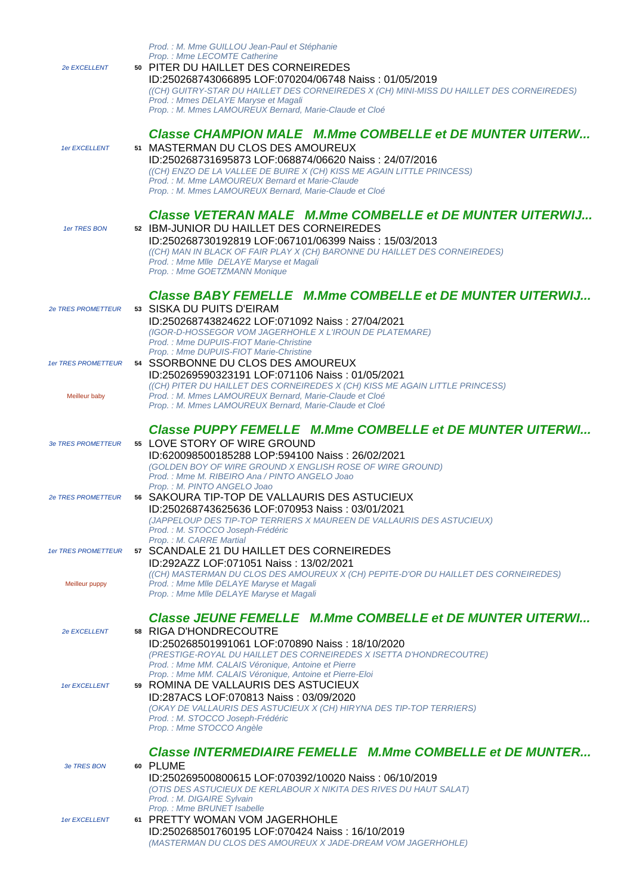|                            | Prod.: M. Mme GUILLOU Jean-Paul et Stéphanie<br>Prop.: Mme LECOMTE Catherine                                                   |
|----------------------------|--------------------------------------------------------------------------------------------------------------------------------|
| 2e EXCELLENT               | 50 PITER DU HAILLET DES CORNEIREDES                                                                                            |
|                            | ID:250268743066895 LOF:070204/06748 Naiss: 01/05/2019                                                                          |
|                            | ((CH) GUITRY-STAR DU HAILLET DES CORNEIREDES X (CH) MINI-MISS DU HAILLET DES CORNEIREDES)                                      |
|                            | Prod.: Mmes DELAYE Maryse et Magali<br>Prop.: M. Mmes LAMOUREUX Bernard. Marie-Claude et Cloé                                  |
|                            |                                                                                                                                |
|                            | Classe CHAMPION MALE M.Mme COMBELLE et DE MUNTER UITERW                                                                        |
| 1er EXCELLENT              | 51 MASTERMAN DU CLOS DES AMOUREUX                                                                                              |
|                            | ID:250268731695873 LOF:068874/06620 Naiss: 24/07/2016                                                                          |
|                            | ((CH) ENZO DE LA VALLEE DE BUIRE X (CH) KISS ME AGAIN LITTLE PRINCESS)                                                         |
|                            | Prod.: M. Mme LAMOUREUX Bernard et Marie-Claude                                                                                |
|                            | Prop.: M. Mmes LAMOUREUX Bernard, Marie-Claude et Cloé                                                                         |
|                            | Classe VETERAN MALE M.Mme COMBELLE et DE MUNTER UITERWIJ                                                                       |
| 1er TRES BON               | 52 IBM-JUNIOR DU HAILLET DES CORNEIREDES                                                                                       |
|                            | ID:250268730192819 LOF:067101/06399 Naiss: 15/03/2013                                                                          |
|                            | ((CH) MAN IN BLACK OF FAIR PLAY X (CH) BARONNE DU HAILLET DES CORNEIREDES)                                                     |
|                            | Prod.: Mme Mlle DELAYE Maryse et Magali<br>Prop.: Mme GOETZMANN Monique                                                        |
|                            |                                                                                                                                |
|                            | Classe BABY FEMELLE M.Mme COMBELLE et DE MUNTER UITERWIJ                                                                       |
| <b>2e TRES PROMETTEUR</b>  | 53 SISKA DU PUITS D'EIRAM                                                                                                      |
|                            | ID:250268743824622 LOF:071092 Naiss: 27/04/2021                                                                                |
|                            | (IGOR-D-HOSSEGOR VOM JAGERHOHLE X L'IROUN DE PLATEMARE)                                                                        |
|                            | Prod.: Mme DUPUIS-FIOT Marie-Christine<br>Prop.: Mme DUPUIS-FIOT Marie-Christine                                               |
| <b>1er TRES PROMETTEUR</b> | 54 SSORBONNE DU CLOS DES AMOUREUX                                                                                              |
|                            | ID:250269590323191 LOF:071106 Naiss: 01/05/2021                                                                                |
|                            | ((CH) PITER DU HAILLET DES CORNEIREDES X (CH) KISS ME AGAIN LITTLE PRINCESS)                                                   |
| Meilleur baby              | Prod.: M. Mmes LAMOUREUX Bernard, Marie-Claude et Cloé<br>Prop.: M. Mmes LAMOUREUX Bernard, Marie-Claude et Cloé               |
|                            |                                                                                                                                |
|                            | <b>Classe PUPPY FEMELLE M.Mme COMBELLE et DE MUNTER UITERWI</b>                                                                |
| <b>3e TRES PROMETTEUR</b>  | 55 LOVE STORY OF WIRE GROUND                                                                                                   |
|                            | ID:620098500185288 LOP:594100 Naiss: 26/02/2021                                                                                |
|                            | (GOLDEN BOY OF WIRE GROUND X ENGLISH ROSE OF WIRE GROUND)<br>Prod.: Mme M. RIBEIRO Ana / PINTO ANGELO Joao                     |
|                            | Prop.: M. PINTO ANGELO Joao                                                                                                    |
| <b>2e TRES PROMETTEUR</b>  | 56 SAKOURA TIP-TOP DE VALLAURIS DES ASTUCIEUX                                                                                  |
|                            | ID:250268743625636 LOF:070953 Naiss: 03/01/2021                                                                                |
|                            | (JAPPELOUP DES TIP-TOP TERRIERS X MAUREEN DE VALLAURIS DES ASTUCIEUX)<br>Prod.: M. STOCCO Joseph-Frédéric                      |
|                            | Prop.: M. CARRE Martial                                                                                                        |
| <b>1er TRES PROMETTEUR</b> | 57 SCANDALE 21 DU HAILLET DES CORNEIREDES                                                                                      |
|                            | ID:292AZZ LOF:071051 Naiss: 13/02/2021                                                                                         |
| Meilleur puppy             | ((CH) MASTERMAN DU CLOS DES AMOUREUX X (CH) PEPITE-D'OR DU HAILLET DES CORNEIREDES)<br>Prod.: Mme Mlle DELAYE Maryse et Magali |
|                            | Prop.: Mme Mlle DELAYE Maryse et Magali                                                                                        |
|                            |                                                                                                                                |
|                            | <b>Classe JEUNE FEMELLE M.Mme COMBELLE et DE MUNTER UITERWI</b>                                                                |
| 2e EXCELLENT               | 58 RIGA D'HONDRECOUTRE                                                                                                         |
|                            | ID:250268501991061 LOF:070890 Naiss: 18/10/2020<br>(PRESTIGE-ROYAL DU HAILLET DES CORNEIREDES X ISETTA D'HONDRECOUTRE)         |
|                            | Prod. : Mme MM. CALAIS Véronique, Antoine et Pierre                                                                            |
|                            | Prop. : Mme MM. CALAIS Véronique, Antoine et Pierre-Eloi                                                                       |
| 1er EXCELLENT              | 59 ROMINA DE VALLAURIS DES ASTUCIEUX                                                                                           |
|                            | ID:287ACS LOF:070813 Naiss: 03/09/2020<br>(OKAY DE VALLAURIS DES ASTUCIEUX X (CH) HIRYNA DES TIP-TOP TERRIERS)                 |
|                            | Prod.: M. STOCCO Joseph-Frédéric                                                                                               |
|                            | Prop.: Mme STOCCO Angèle                                                                                                       |
|                            |                                                                                                                                |
|                            | <b>Classe INTERMEDIAIRE FEMELLE M.Mme COMBELLE et DE MUNTER</b>                                                                |
| 3e TRES BON                | 60 PLUME<br>ID:250269500800615 LOF:070392/10020 Naiss: 06/10/2019                                                              |
|                            | (OTIS DES ASTUCIEUX DE KERLABOUR X NIKITA DES RIVES DU HAUT SALAT)                                                             |
|                            | Prod.: M. DIGAIRE Sylvain                                                                                                      |
|                            | Prop.: Mme BRUNET Isabelle<br>61 PRETTY WOMAN VOM JAGERHOHLE                                                                   |
| 1er EXCELLENT              | ID:250268501760195 LOF:070424 Naiss: 16/10/2019                                                                                |
|                            | (MASTERMAN DU CLOS DES AMOUREUX X JADE-DREAM VOM JAGERHOHLE)                                                                   |
|                            |                                                                                                                                |
|                            |                                                                                                                                |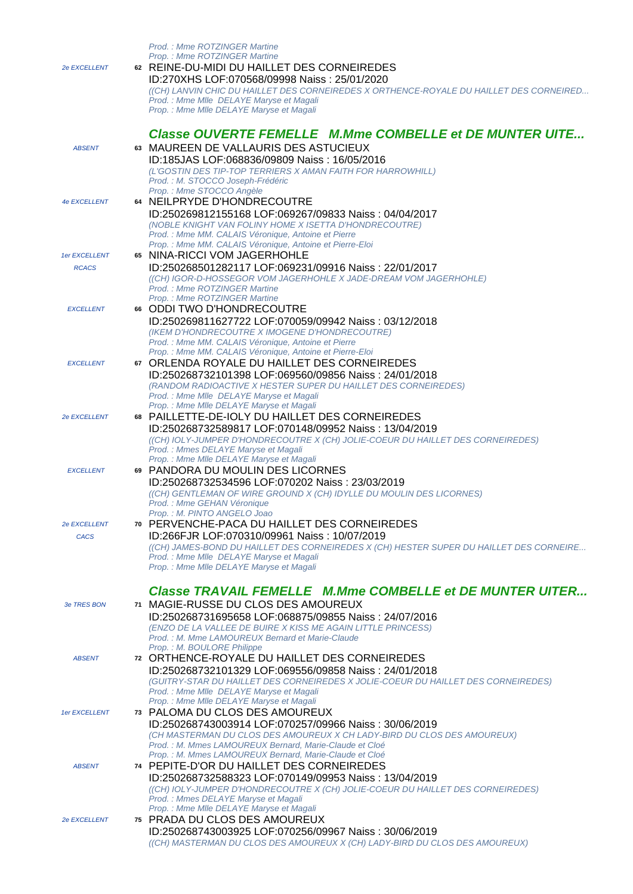| <b>2e EXCELLENT</b>                | Prod.: Mme ROTZINGER Martine<br>Prop.: Mme ROTZINGER Martine<br>62 REINE-DU-MIDI DU HAILLET DES CORNEIREDES<br>ID:270XHS LOF:070568/09998 Naiss: 25/01/2020<br>((CH) LANVIN CHIC DU HAILLET DES CORNEIREDES X ORTHENCE-ROYALE DU HAILLET DES CORNEIRED<br>Prod.: Mme Mlle DELAYE Maryse et Magali<br>Prop.: Mme Mlle DELAYE Maryse et Magali |
|------------------------------------|----------------------------------------------------------------------------------------------------------------------------------------------------------------------------------------------------------------------------------------------------------------------------------------------------------------------------------------------|
| <b>ABSENT</b>                      | <b>Classe OUVERTE FEMELLE M.Mme COMBELLE et DE MUNTER UITE</b><br>63 MAUREEN DE VALLAURIS DES ASTUCIEUX<br>ID:185JAS LOF:068836/09809 Naiss: 16/05/2016<br>(L'GOSTIN DES TIP-TOP TERRIERS X AMAN FAITH FOR HARROWHILL)<br>Prod.: M. STOCCO Joseph-Frédéric                                                                                   |
| <b>4e EXCELLENT</b>                | Prop.: Mme STOCCO Angèle<br>64 NEILPRYDE D'HONDRECOUTRE<br>ID:250269812155168 LOF:069267/09833 Naiss: 04/04/2017<br>(NOBLE KNIGHT VAN FOLINY HOME X ISETTA D'HONDRECOUTRE)<br>Prod. : Mme MM. CALAIS Véronique, Antoine et Pierre<br>Prop. : Mme MM. CALAIS Véronique, Antoine et Pierre-Eloi                                                |
| 1er EXCELLENT<br><b>RCACS</b>      | 65 NINA-RICCI VOM JAGERHOHLE<br>ID:250268501282117 LOF:069231/09916 Naiss: 22/01/2017<br>((CH) IGOR-D-HOSSEGOR VOM JAGERHOHLE X JADE-DREAM VOM JAGERHOHLE)<br>Prod.: Mme ROTZINGER Martine<br>Prop.: Mme ROTZINGER Martine                                                                                                                   |
| <b>EXCELLENT</b>                   | 66 ODDI TWO D'HONDRECOUTRE<br>ID:250269811627722 LOF:070059/09942 Naiss: 03/12/2018<br>(IKEM D'HONDRECOUTRE X IMOGENE D'HONDRECOUTRE)<br>Prod. : Mme MM. CALAIS Véronique, Antoine et Pierre<br>Prop. : Mme MM. CALAIS Véronique, Antoine et Pierre-Eloi                                                                                     |
| <b>EXCELLENT</b>                   | 67 ORLENDA ROYALE DU HAILLET DES CORNEIREDES<br>ID:250268732101398 LOF:069560/09856 Naiss: 24/01/2018<br>(RANDOM RADIOACTIVE X HESTER SUPER DU HAILLET DES CORNEIREDES)<br>Prod.: Mme Mlle DELAYE Maryse et Magali<br>Prop.: Mme Mlle DELAYE Maryse et Magali                                                                                |
| <b>2e EXCELLENT</b>                | 68 PAILLETTE-DE-IOLY DU HAILLET DES CORNEIREDES<br>ID:250268732589817 LOF:070148/09952 Naiss: 13/04/2019<br>((CH) IOLY-JUMPER D'HONDRECOUTRE X (CH) JOLIE-COEUR DU HAILLET DES CORNEIREDES)<br>Prod.: Mmes DELAYE Maryse et Magali                                                                                                           |
| <b>EXCELLENT</b>                   | Prop. : Mme MIIe DELAYE Maryse et Magali<br>69 PANDORA DU MOULIN DES LICORNES<br>ID:250268732534596 LOF:070202 Naiss: 23/03/2019<br>((CH) GENTLEMAN OF WIRE GROUND X (CH) IDYLLE DU MOULIN DES LICORNES)<br>Prod.: Mme GEHAN Véronique                                                                                                       |
| <b>2e EXCELLENT</b><br><b>CACS</b> | Prop.: M. PINTO ANGELO Joao<br>70 PERVENCHE-PACA DU HAILLET DES CORNEIREDES<br>ID:266FJR LOF:070310/09961 Naiss: 10/07/2019<br>((CH) JAMES-BOND DU HAILLET DES CORNEIREDES X (CH) HESTER SUPER DU HAILLET DES CORNEIRE<br>Prod.: Mme Mlle DELAYE Maryse et Magali<br>Prop.: Mme Mlle DELAYE Maryse et Magali                                 |
| 3e TRES BON                        | <b>Classe TRAVAIL FEMELLE M.Mme COMBELLE et DE MUNTER UITER</b><br>71 MAGIE-RUSSE DU CLOS DES AMOUREUX<br>ID:250268731695658 LOF:068875/09855 Naiss: 24/07/2016<br>(ENZO DE LA VALLEE DE BUIRE X KISS ME AGAIN LITTLE PRINCESS)<br>Prod.: M. Mme LAMOUREUX Bernard et Marie-Claude                                                           |
| <b>ABSENT</b>                      | Prop.: M. BOULORE Philippe<br>72 ORTHENCE-ROYALE DU HAILLET DES CORNEIREDES<br>ID:250268732101329 LOF:069556/09858 Naiss: 24/01/2018<br>(GUITRY-STAR DU HAILLET DES CORNEIREDES X JOLIE-COEUR DU HAILLET DES CORNEIREDES)<br>Prod.: Mme Mlle DELAYE Maryse et Magali                                                                         |
| 1er EXCELLENT                      | Prop. : Mme Mlle DELAYE Maryse et Magali<br>73 PALOMA DU CLOS DES AMOUREUX<br>ID:250268743003914 LOF:070257/09966 Naiss: 30/06/2019<br>(CH MASTERMAN DU CLOS DES AMOUREUX X CH LADY-BIRD DU CLOS DES AMOUREUX)<br>Prod.: M. Mmes LAMOUREUX Bernard, Marie-Claude et Cloé                                                                     |
| <b>ABSENT</b>                      | Prop.: M. Mmes LAMOUREUX Bernard, Marie-Claude et Cloé<br>74 PEPITE-D'OR DU HAILLET DES CORNEIREDES<br>ID:250268732588323 LOF:070149/09953 Naiss: 13/04/2019<br>((CH) IOLY-JUMPER D'HONDRECOUTRE X (CH) JOLIE-COEUR DU HAILLET DES CORNEIREDES)<br>Prod.: Mmes DELAYE Maryse et Magali                                                       |
| <b>2e EXCELLENT</b>                | Prop.: Mme Mlle DELAYE Maryse et Magali<br>75 PRADA DU CLOS DES AMOUREUX<br>ID:250268743003925 LOF:070256/09967 Naiss: 30/06/2019<br>((CH) MASTERMAN DU CLOS DES AMOUREUX X (CH) LADY-BIRD DU CLOS DES AMOUREUX)                                                                                                                             |